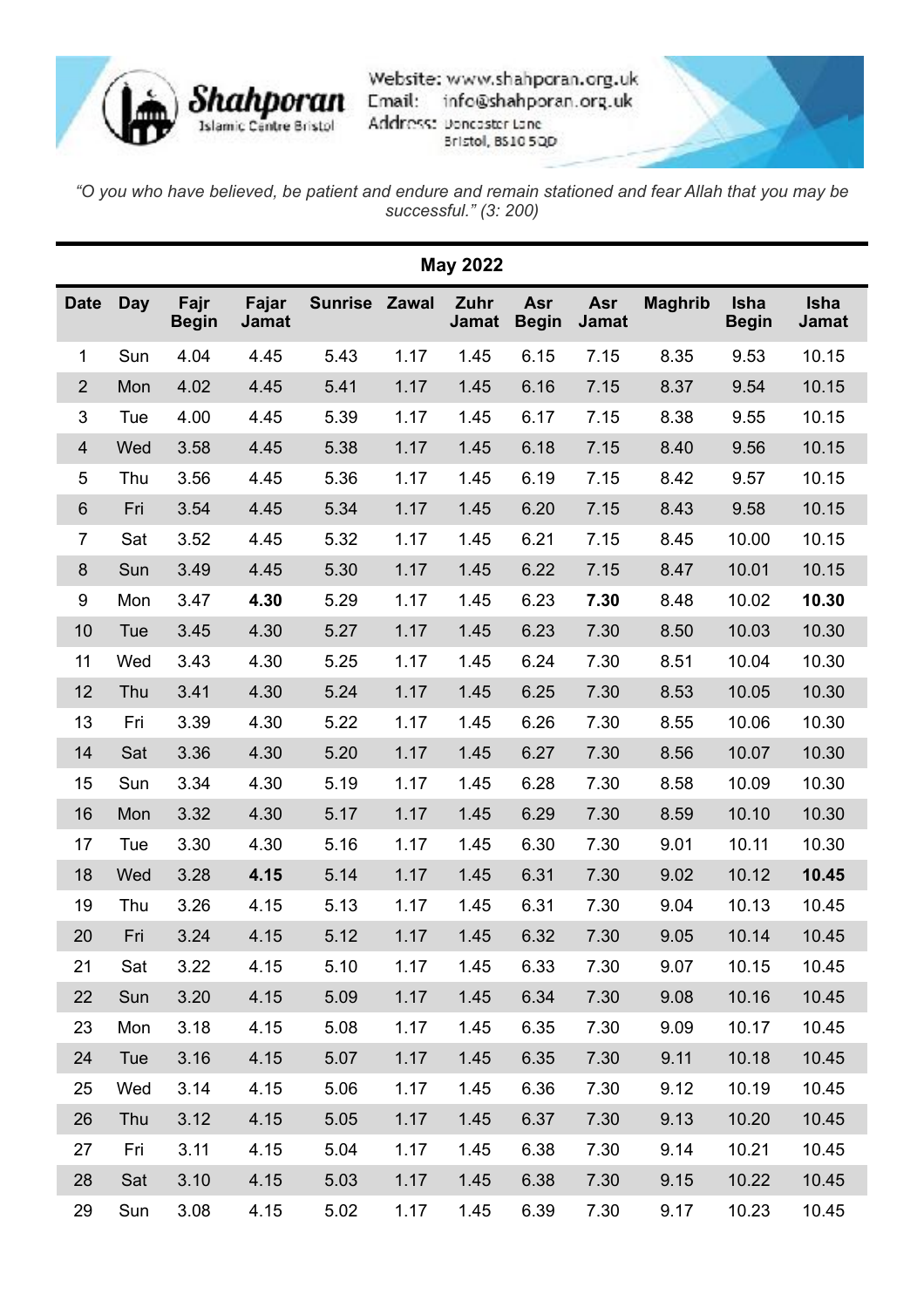

Website: www.shahporan.org.uk info@shahporan.org.uk Address: Doncaster Lane Bristol, BS10 5QD



*"O you who have believed, be patient and endure and remain stationed and fear Allah that you may be successful." (3: 200)*

| <b>May 2022</b> |            |                      |                       |                |       |                      |                     |                     |                |                             |                             |
|-----------------|------------|----------------------|-----------------------|----------------|-------|----------------------|---------------------|---------------------|----------------|-----------------------------|-----------------------------|
| <b>Date</b>     | <b>Day</b> | Fajr<br><b>Begin</b> | Fajar<br><b>Jamat</b> | <b>Sunrise</b> | Zawal | Zuhr<br><b>Jamat</b> | Asr<br><b>Begin</b> | Asr<br><b>Jamat</b> | <b>Maghrib</b> | <b>Isha</b><br><b>Begin</b> | <b>Isha</b><br><b>Jamat</b> |
| $\mathbf 1$     | Sun        | 4.04                 | 4.45                  | 5.43           | 1.17  | 1.45                 | 6.15                | 7.15                | 8.35           | 9.53                        | 10.15                       |
| $\overline{2}$  | Mon        | 4.02                 | 4.45                  | 5.41           | 1.17  | 1.45                 | 6.16                | 7.15                | 8.37           | 9.54                        | 10.15                       |
| 3               | Tue        | 4.00                 | 4.45                  | 5.39           | 1.17  | 1.45                 | 6.17                | 7.15                | 8.38           | 9.55                        | 10.15                       |
| $\overline{4}$  | Wed        | 3.58                 | 4.45                  | 5.38           | 1.17  | 1.45                 | 6.18                | 7.15                | 8.40           | 9.56                        | 10.15                       |
| 5               | Thu        | 3.56                 | 4.45                  | 5.36           | 1.17  | 1.45                 | 6.19                | 7.15                | 8.42           | 9.57                        | 10.15                       |
| $6\phantom{1}6$ | Fri        | 3.54                 | 4.45                  | 5.34           | 1.17  | 1.45                 | 6.20                | 7.15                | 8.43           | 9.58                        | 10.15                       |
| $\overline{7}$  | Sat        | 3.52                 | 4.45                  | 5.32           | 1.17  | 1.45                 | 6.21                | 7.15                | 8.45           | 10.00                       | 10.15                       |
| 8               | Sun        | 3.49                 | 4.45                  | 5.30           | 1.17  | 1.45                 | 6.22                | 7.15                | 8.47           | 10.01                       | 10.15                       |
| 9               | Mon        | 3.47                 | 4.30                  | 5.29           | 1.17  | 1.45                 | 6.23                | 7.30                | 8.48           | 10.02                       | 10.30                       |
| 10              | Tue        | 3.45                 | 4.30                  | 5.27           | 1.17  | 1.45                 | 6.23                | 7.30                | 8.50           | 10.03                       | 10.30                       |
| 11              | Wed        | 3.43                 | 4.30                  | 5.25           | 1.17  | 1.45                 | 6.24                | 7.30                | 8.51           | 10.04                       | 10.30                       |
| 12              | Thu        | 3.41                 | 4.30                  | 5.24           | 1.17  | 1.45                 | 6.25                | 7.30                | 8.53           | 10.05                       | 10.30                       |
| 13              | Fri        | 3.39                 | 4.30                  | 5.22           | 1.17  | 1.45                 | 6.26                | 7.30                | 8.55           | 10.06                       | 10.30                       |
| 14              | Sat        | 3.36                 | 4.30                  | 5.20           | 1.17  | 1.45                 | 6.27                | 7.30                | 8.56           | 10.07                       | 10.30                       |
| 15              | Sun        | 3.34                 | 4.30                  | 5.19           | 1.17  | 1.45                 | 6.28                | 7.30                | 8.58           | 10.09                       | 10.30                       |
| 16              | Mon        | 3.32                 | 4.30                  | 5.17           | 1.17  | 1.45                 | 6.29                | 7.30                | 8.59           | 10.10                       | 10.30                       |
| 17              | Tue        | 3.30                 | 4.30                  | 5.16           | 1.17  | 1.45                 | 6.30                | 7.30                | 9.01           | 10.11                       | 10.30                       |
| 18              | Wed        | 3.28                 | 4.15                  | 5.14           | 1.17  | 1.45                 | 6.31                | 7.30                | 9.02           | 10.12                       | 10.45                       |
| 19              | Thu        | 3.26                 | 4.15                  | 5.13           | 1.17  | 1.45                 | 6.31                | 7.30                | 9.04           | 10.13                       | 10.45                       |
| 20              | Fri        | 3.24                 | 4.15                  | 5.12           | 1.17  | 1.45                 | 6.32                | 7.30                | 9.05           | 10.14                       | 10.45                       |
| 21              | Sat        | 3.22                 | 4.15                  | 5.10           | 1.17  | 1.45                 | 6.33                | 7.30                | 9.07           | 10.15                       | 10.45                       |
| 22              | Sun        | 3.20                 | 4.15                  | 5.09           | 1.17  | 1.45                 | 6.34                | 7.30                | 9.08           | 10.16                       | 10.45                       |
| 23              | Mon        | 3.18                 | 4.15                  | 5.08           | 1.17  | 1.45                 | 6.35                | 7.30                | 9.09           | 10.17                       | 10.45                       |
| 24              | Tue        | 3.16                 | 4.15                  | 5.07           | 1.17  | 1.45                 | 6.35                | 7.30                | 9.11           | 10.18                       | 10.45                       |
| 25              | Wed        | 3.14                 | 4.15                  | 5.06           | 1.17  | 1.45                 | 6.36                | 7.30                | 9.12           | 10.19                       | 10.45                       |
| 26              | Thu        | 3.12                 | 4.15                  | 5.05           | 1.17  | 1.45                 | 6.37                | 7.30                | 9.13           | 10.20                       | 10.45                       |
| 27              | Fri        | 3.11                 | 4.15                  | 5.04           | 1.17  | 1.45                 | 6.38                | 7.30                | 9.14           | 10.21                       | 10.45                       |
| 28              | Sat        | 3.10                 | 4.15                  | 5.03           | 1.17  | 1.45                 | 6.38                | 7.30                | 9.15           | 10.22                       | 10.45                       |
| 29              | Sun        | 3.08                 | 4.15                  | 5.02           | 1.17  | 1.45                 | 6.39                | 7.30                | 9.17           | 10.23                       | 10.45                       |